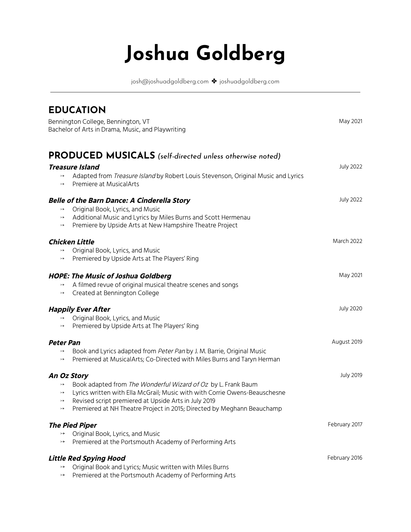## **Joshua Goldberg**

josh@joshuadgoldberg.com ✤ joshuadgoldberg.com

| <b>EDUCATION</b>                                                                                                                                                                                                                                                                                                                                                                 | May 2021          |
|----------------------------------------------------------------------------------------------------------------------------------------------------------------------------------------------------------------------------------------------------------------------------------------------------------------------------------------------------------------------------------|-------------------|
| Bennington College, Bennington, VT<br>Bachelor of Arts in Drama, Music, and Playwriting                                                                                                                                                                                                                                                                                          |                   |
| <b>PRODUCED MUSICALS</b> (self-directed unless otherwise noted)<br><b>Treasure Island</b><br>Adapted from Treasure Island by Robert Louis Stevenson, Original Music and Lyrics<br>$\rightarrowtail$<br>Premiere at MusicalArts<br>$\rightarrowtail$                                                                                                                              | <b>July 2022</b>  |
| <b>Belle of the Barn Dance: A Cinderella Story</b><br>Original Book, Lyrics, and Music<br>$\rightarrow$<br>Additional Music and Lyrics by Miles Burns and Scott Hermenau<br>$\rightarrowtail$<br>Premiere by Upside Arts at New Hampshire Theatre Project<br>$\rightarrowtail$                                                                                                   | <b>July 2022</b>  |
| <b>Chicken Little</b><br>Original Book, Lyrics, and Music<br>$\rightarrowtail$<br>Premiered by Upside Arts at The Players' Ring<br>$\rightarrowtail$                                                                                                                                                                                                                             | <b>March 2022</b> |
| <b>HOPE: The Music of Joshua Goldberg</b><br>A filmed revue of original musical theatre scenes and songs<br>$\rightarrowtail$<br>Created at Bennington College<br>$\rightarrowtail$                                                                                                                                                                                              | May 2021          |
| <b>Happily Ever After</b><br>Original Book, Lyrics, and Music<br>$\rightarrowtail$<br>Premiered by Upside Arts at The Players' Ring<br>$\rightarrowtail$                                                                                                                                                                                                                         | <b>July 2020</b>  |
| <b>Peter Pan</b><br>Book and Lyrics adapted from Peter Pan by J. M. Barrie, Original Music<br>$\rightarrowtail$<br>Premiered at MusicalArts; Co-Directed with Miles Burns and Taryn Herman<br>$\rightarrowtail$                                                                                                                                                                  | August 2019       |
| An Oz Story<br>Book adapted from The Wonderful Wizard of Oz by L. Frank Baum<br>$\rightarrowtail$<br>Lyrics written with Ella McGrail; Music with with Corrie Owens-Beauschesne<br>$\rightarrowtail$<br>Revised script premiered at Upside Arts in July 2019<br>$\rightarrowtail$<br>Premiered at NH Theatre Project in 2015; Directed by Meghann Beauchamp<br>$\rightarrowtail$ | <b>July 2019</b>  |
| <b>The Pied Piper</b><br>Original Book, Lyrics, and Music<br>$\rightarrowtail$<br>Premiered at the Portsmouth Academy of Performing Arts<br>$\rightarrow$                                                                                                                                                                                                                        | February 2017     |
| <b>Little Red Spying Hood</b><br>Original Book and Lyrics; Music written with Miles Burns<br>$\rightarrowtail$<br>Premiered at the Portsmouth Academy of Performing Arts<br>$\rightarrow$                                                                                                                                                                                        | February 2016     |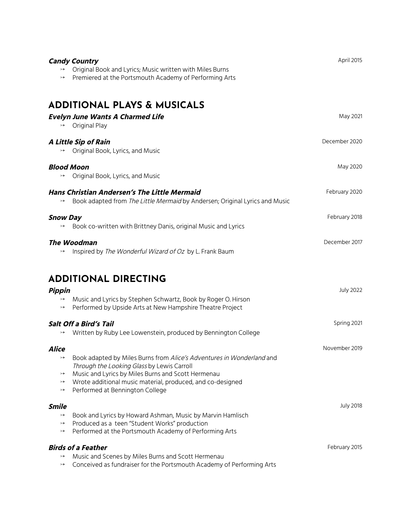|                                      | Original Book and Lyrics; Music written with Miles Burns                                                                           | April 2015                                                                            |
|--------------------------------------|------------------------------------------------------------------------------------------------------------------------------------|---------------------------------------------------------------------------------------|
| $\rightarrowtail$                    | Premiered at the Portsmouth Academy of Performing Arts                                                                             |                                                                                       |
|                                      | <b>ADDITIONAL PLAYS &amp; MUSICALS</b>                                                                                             |                                                                                       |
| $\rightarrow$                        | <b>Evelyn June Wants A Charmed Life</b><br>Original Play                                                                           | May 2021                                                                              |
|                                      | A Little Sip of Rain<br>Original Book, Lyrics, and Music                                                                           | December 2020                                                                         |
| $\rightarrowtail$                    | <b>Blood Moon</b><br>Original Book, Lyrics, and Music                                                                              | May 2020                                                                              |
| $\rightarrowtail$                    | <b>Hans Christian Andersen's The Little Mermaid</b><br>Book adapted from The Little Mermaid by Andersen; Original Lyrics and Music | February 2020                                                                         |
| <b>Snow Day</b><br>$\rightarrowtail$ | Book co-written with Brittney Danis, original Music and Lyrics                                                                     | February 2018                                                                         |
|                                      | <b>The Woodman</b>                                                                                                                 | December 2017                                                                         |
| $\rightarrowtail$                    | Inspired by The Wonderful Wizard of Oz by L. Frank Baum                                                                            |                                                                                       |
|                                      |                                                                                                                                    |                                                                                       |
|                                      | <b>ADDITIONAL DIRECTING</b>                                                                                                        |                                                                                       |
| <b>Pippin</b>                        |                                                                                                                                    |                                                                                       |
| $\rightarrowtail$                    | Music and Lyrics by Stephen Schwartz, Book by Roger O. Hirson<br>Performed by Upside Arts at New Hampshire Theatre Project         |                                                                                       |
|                                      | Salt Off a Bird's Tail                                                                                                             |                                                                                       |
|                                      | Written by Ruby Lee Lowenstein, produced by Bennington College                                                                     |                                                                                       |
| Alice                                |                                                                                                                                    |                                                                                       |
| $\rightarrow$                        | Book adapted by Miles Burns from Alice's Adventures in Wonderland and                                                              |                                                                                       |
| $\rightarrow$                        | Through the Looking Glass by Lewis Carroll<br>Music and Lyrics by Miles Burns and Scott Hermenau                                   |                                                                                       |
| $\rightarrowtail$<br>$\rightarrow$   | Wrote additional music material, produced, and co-designed<br>Performed at Bennington College                                      |                                                                                       |
|                                      |                                                                                                                                    |                                                                                       |
| <b>Smile</b><br>$\rightarrowtail$    | Book and Lyrics by Howard Ashman, Music by Marvin Hamlisch                                                                         |                                                                                       |
| $\rightarrowtail$<br>$\rightarrow$   | Produced as a teen "Student Works" production<br>Performed at the Portsmouth Academy of Performing Arts                            |                                                                                       |
|                                      | <b>Birds of a Feather</b>                                                                                                          | <b>July 2022</b><br>Spring 2021<br>November 2019<br><b>July 2018</b><br>February 2015 |
| $\rightarrowtail$                    | Music and Scenes by Miles Burns and Scott Hermenau                                                                                 |                                                                                       |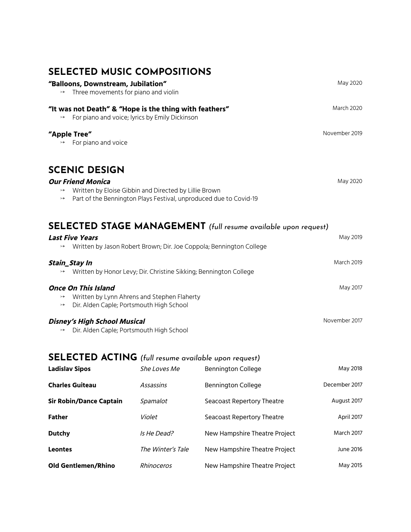## **SELECTED MUSIC COMPOSITIONS**

| "Balloons, Downstream, Jubilation"<br>Three movements for piano and violin<br>$\rightarrow$                                                                                                  | May 2020          |
|----------------------------------------------------------------------------------------------------------------------------------------------------------------------------------------------|-------------------|
| "It was not Death" & "Hope is the thing with feathers"<br>For piano and voice; lyrics by Emily Dickinson<br>$\rightarrowtail$                                                                | <b>March 2020</b> |
| "Apple Tree"<br>For piano and voice<br>$\rightarrow$                                                                                                                                         | November 2019     |
| <b>SCENIC DESIGN</b>                                                                                                                                                                         |                   |
| <b>Our Friend Monica</b><br>Written by Eloise Gibbin and Directed by Lillie Brown<br>$\rightarrow$<br>Part of the Bennington Plays Festival, unproduced due to Covid-19<br>$\rightarrowtail$ | May 2020          |
| <b>SELECTED STAGE MANAGEMENT</b> (full resume available upon request)                                                                                                                        |                   |
| <b>Last Five Years</b><br>Written by Jason Robert Brown; Dir. Joe Coppola; Bennington College<br>$\rightarrow$                                                                               | May 2019          |
| Stain_Stay In<br>Written by Honor Levy; Dir. Christine Sikking; Bennington College                                                                                                           | <b>March 2019</b> |
| <b>Once On This Island</b><br>Written by Lynn Ahrens and Stephen Flaherty<br>$\rightarrow$<br>Dir. Alden Caple; Portsmouth High School<br>$\rightarrowtail$                                  | May 2017          |
| <b>Disney's High School Musical</b><br>Dir. Alden Caple; Portsmouth High School<br>$\rightarrow$                                                                                             | November 2017     |

## **SELECTED ACTING** *(full resume available upon request)*

| <b>Ladislav Sipos</b>          | She Loves Me      | <b>Bennington College</b>     | May 2018          |
|--------------------------------|-------------------|-------------------------------|-------------------|
| <b>Charles Guiteau</b>         | Assassins         | <b>Bennington College</b>     | December 2017     |
| <b>Sir Robin/Dance Captain</b> | Spamalot          | Seacoast Repertory Theatre    | August 2017       |
| <b>Father</b>                  | Violet            | Seacoast Repertory Theatre    | April 2017        |
| <b>Dutchy</b>                  | Is He Dead?       | New Hampshire Theatre Project | <b>March 2017</b> |
| <b>Leontes</b>                 | The Winter's Tale | New Hampshire Theatre Project | June 2016         |
| <b>Old Gentlemen/Rhino</b>     | Rhinoceros        | New Hampshire Theatre Project | May 2015          |